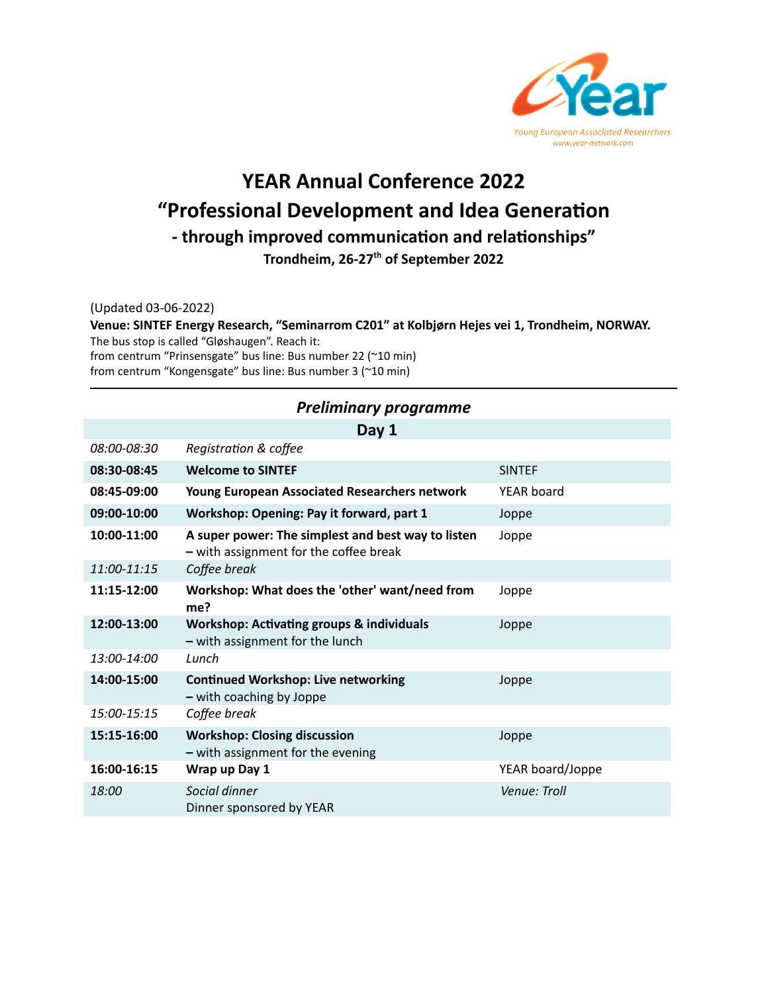

# **YEAR Annual Conference 2022 "Professional Development and Idea Generation** - through improved communication and relationships" **Trondheim, 26-27th of September 2022**

(Updated 03-06-2022)

**Venue: SINTEF Energy Research, "Seminarrom C201" at Kolbjørn Hejes vei 1, Trondheim, NORWAY.** The bus stop is called "Gløshaugen". Reach it: from centrum "Prinsensgate" bus line: Bus number 22 (~10 min)

from centrum "Kongensgate" bus line: Bus number 3 (~10 min)

#### *Preliminary programme* **Day 1** 08:00-08:30 **Registration & coffee 08:30-08:45 Welcome to SINTEF** SINTEF **08:45-09:00 Young European Associated Researchers network** YEAR board **09:00-10:00 Workshop: Opening: Pay it forward, part 1** Joppe **10:00-11:00 A super power: The simplest and best way to listen –** with assignment for the coffee break Joppe *11:00-11:15 Coffee break* **11:15-12:00 Workshop: What does the 'other' want/need from me?** Joppe 12:00-13:00 Workshop: Activating groups & individuals **–** with assignment for the lunch Joppe *13:00-14:00 Lunch* 14:00-15:00 **Continued Workshop: Live networking –** with coaching by Joppe Joppe *15:00-15:15 Coffee break* **15:15-16:00 Workshop: Closing discussion –** with assignment for the evening Joppe **16:00-16:15 Wrap up Day 1** YEAR board/Joppe *18:00 Social dinner Venue: Troll* Dinner sponsored by YEAR